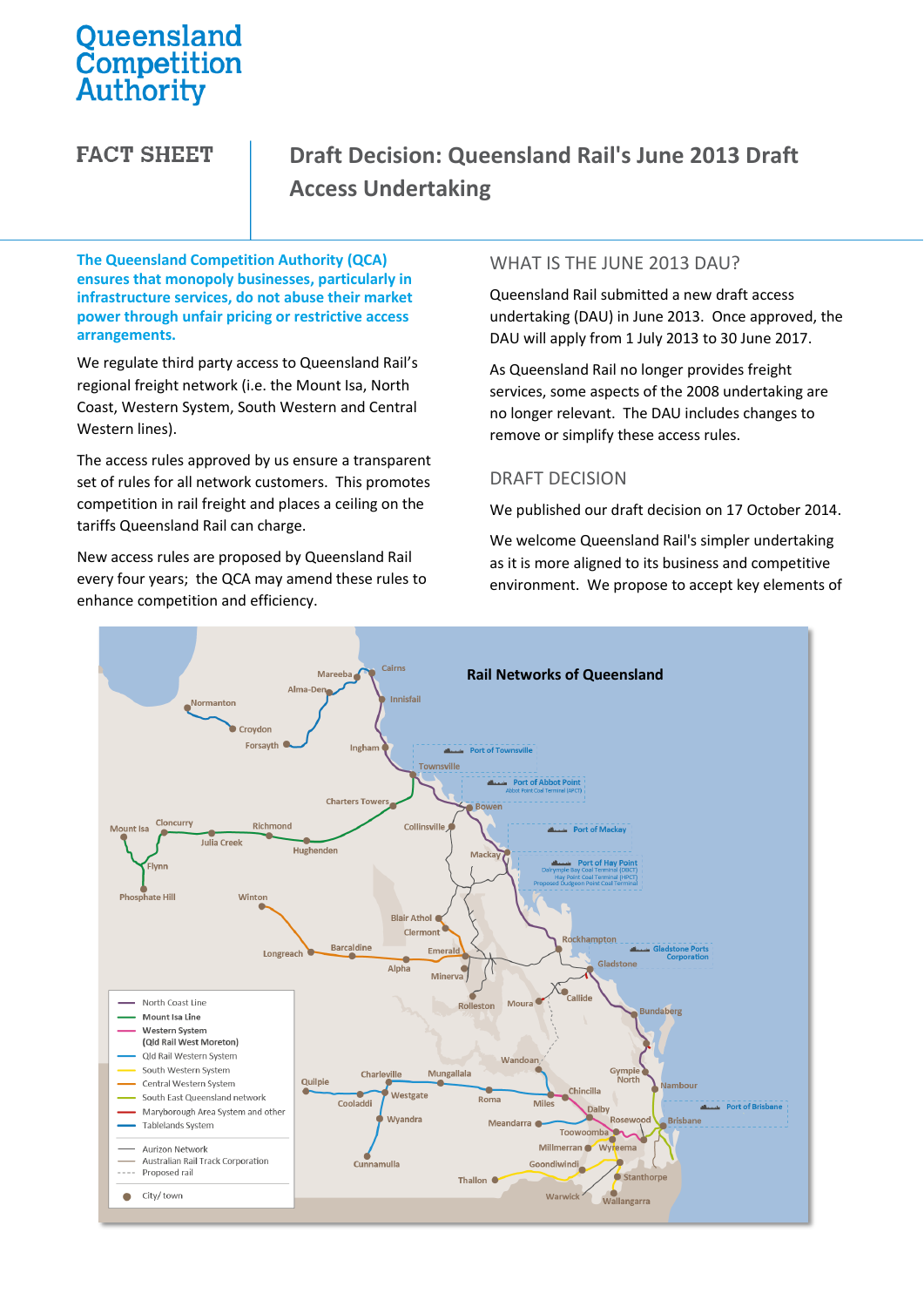# Queensland Competition Authority

**FACT SHEET** 

# **Draft Decision: Queensland Rail's June 2013 Draft Access Undertaking**

**The Queensland Competition Authority (QCA) ensures that monopoly businesses, particularly in infrastructure services, do not abuse their market power through unfair pricing or restrictive access arrangements.**

We regulate third party access to Queensland Rail's regional freight network (i.e. the Mount Isa, North Coast, Western System, South Western and Central Western lines).

The access rules approved by us ensure a transparent set of rules for all network customers. This promotes competition in rail freight and places a ceiling on the tariffs Queensland Rail can charge.

New access rules are proposed by Queensland Rail every four years; the QCA may amend these rules to enhance competition and efficiency.

#### WHAT IS THE JUNE 2013 DAU?

Queensland Rail submitted a new draft access undertaking (DAU) in June 2013. Once approved, the DAU will apply from 1 July 2013 to 30 June 2017.

As Queensland Rail no longer provides freight services, some aspects of the 2008 undertaking are no longer relevant. The DAU includes changes to remove or simplify these access rules.

#### DRAFT DECISION

We published our draft decision on 17 October 2014.

We welcome Queensland Rail's simpler undertaking as it is more aligned to its business and competitive environment. We propose to accept key elements of

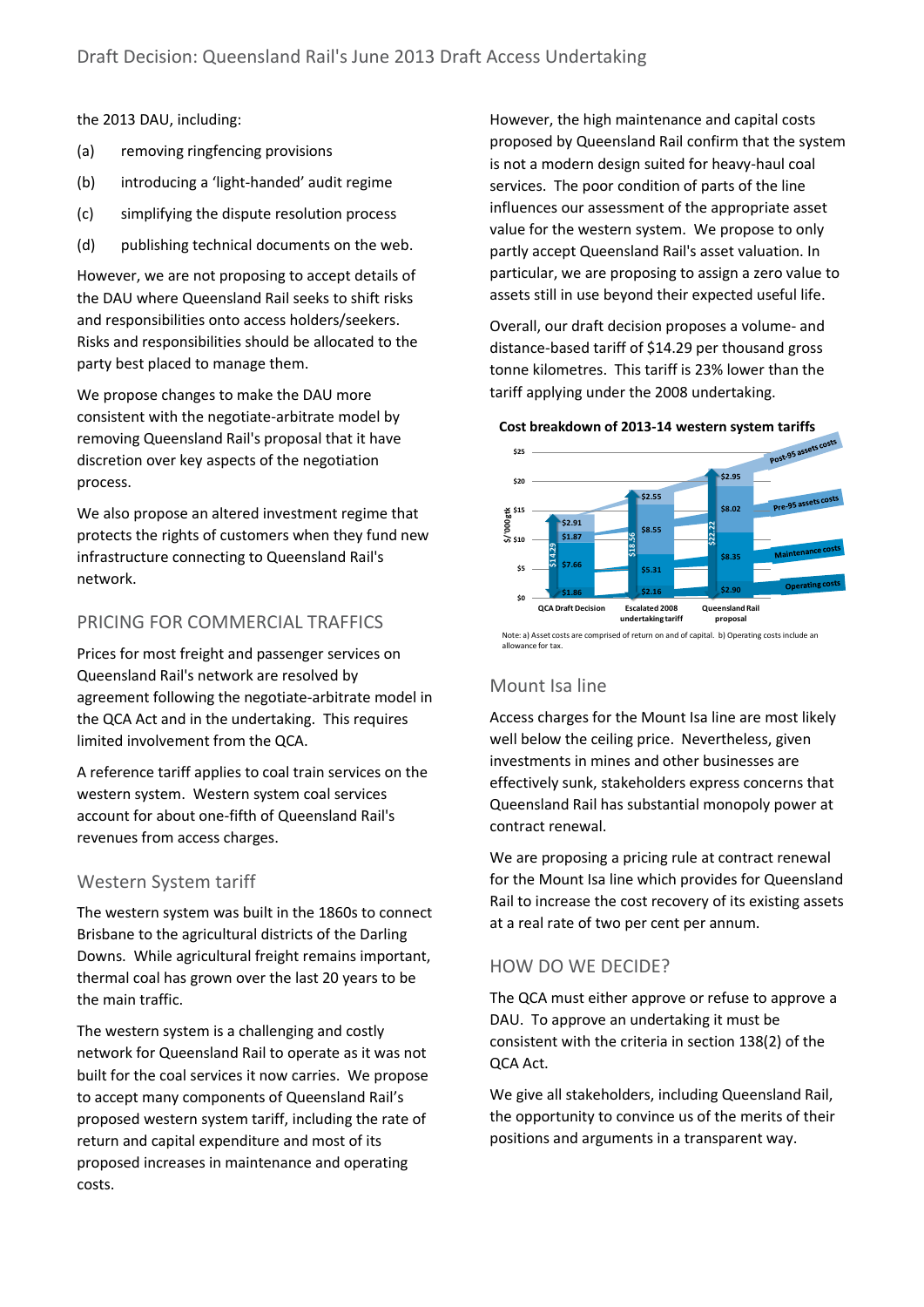the 2013 DAU, including:

- (a) removing ringfencing provisions
- (b) introducing a 'light-handed' audit regime
- (c) simplifying the dispute resolution process
- (d) publishing technical documents on the web.

However, we are not proposing to accept details of the DAU where Queensland Rail seeks to shift risks and responsibilities onto access holders/seekers. Risks and responsibilities should be allocated to the party best placed to manage them.

We propose changes to make the DAU more consistent with the negotiate-arbitrate model by removing Queensland Rail's proposal that it have discretion over key aspects of the negotiation process.

We also propose an altered investment regime that protects the rights of customers when they fund new infrastructure connecting to Queensland Rail's network.

#### PRICING FOR COMMERCIAL TRAFFICS

Prices for most freight and passenger services on Queensland Rail's network are resolved by agreement following the negotiate-arbitrate model in the QCA Act and in the undertaking. This requires limited involvement from the QCA.

A reference tariff applies to coal train services on the western system. Western system coal services account for about one-fifth of Queensland Rail's revenues from access charges.

#### Western System tariff

The western system was built in the 1860s to connect Brisbane to the agricultural districts of the Darling Downs. While agricultural freight remains important, thermal coal has grown over the last 20 years to be the main traffic.

The western system is a challenging and costly network for Queensland Rail to operate as it was not built for the coal services it now carries. We propose to accept many components of Queensland Rail's proposed western system tariff, including the rate of return and capital expenditure and most of its proposed increases in maintenance and operating costs.

However, the high maintenance and capital costs proposed by Queensland Rail confirm that the system is not a modern design suited for heavy-haul coal services. The poor condition of parts of the line influences our assessment of the appropriate asset value for the western system. We propose to only partly accept Queensland Rail's asset valuation. In particular, we are proposing to assign a zero value to assets still in use beyond their expected useful life.

Overall, our draft decision proposes a volume- and distance-based tariff of \$14.29 per thousand gross tonne kilometres. This tariff is 23% lower than the tariff applying under the 2008 undertaking.



Note: a) Asset costs are comprised of return on and of capital. b) Operating costs include an

### Mount Isa line

Access charges for the Mount Isa line are most likely well below the ceiling price. Nevertheless, given investments in mines and other businesses are effectively sunk, stakeholders express concerns that Queensland Rail has substantial monopoly power at contract renewal.

We are proposing a pricing rule at contract renewal for the Mount Isa line which provides for Queensland Rail to increase the cost recovery of its existing assets at a real rate of two per cent per annum.

### HOW DO WE DECIDE?

The QCA must either approve or refuse to approve a DAU. To approve an undertaking it must be consistent with the criteria in section 138(2) of the QCA Act.

We give all stakeholders, including Queensland Rail, the opportunity to convince us of the merits of their positions and arguments in a transparent way.